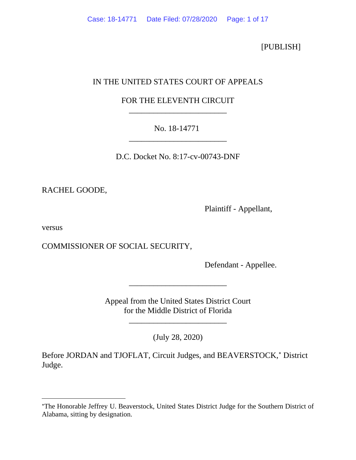[PUBLISH]

# IN THE UNITED STATES COURT OF APPEALS

# FOR THE ELEVENTH CIRCUIT \_\_\_\_\_\_\_\_\_\_\_\_\_\_\_\_\_\_\_\_\_\_\_\_

# No. 18-14771 \_\_\_\_\_\_\_\_\_\_\_\_\_\_\_\_\_\_\_\_\_\_\_\_

D.C. Docket No. 8:17-cv-00743-DNF

RACHEL GOODE,

Plaintiff - Appellant,

versus

COMMISSIONER OF SOCIAL SECURITY,

Defendant - Appellee.

Appeal from the United States District Court for the Middle District of Florida

\_\_\_\_\_\_\_\_\_\_\_\_\_\_\_\_\_\_\_\_\_\_\_\_

\_\_\_\_\_\_\_\_\_\_\_\_\_\_\_\_\_\_\_\_\_\_\_\_

(July 28, 2020)

Before JORDAN and TJOFLAT, Circuit Judges, and BEAVERSTOCK,\* District Judge.

<span id="page-0-0"></span><sup>∗</sup>The Honorable Jeffrey U. Beaverstock, United States District Judge for the Southern District of Alabama, sitting by designation.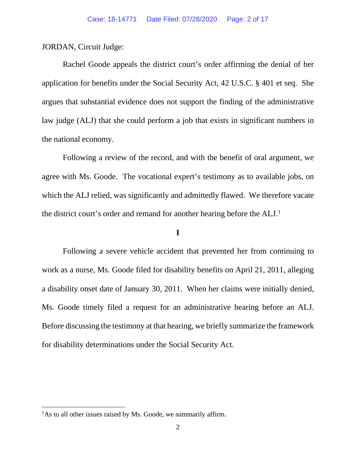JORDAN, Circuit Judge:

Rachel Goode appeals the district court's order affirming the denial of her application for benefits under the Social Security Act, 42 U.S.C. § 401 et seq. She argues that substantial evidence does not support the finding of the administrative law judge (ALJ) that she could perform a job that exists in significant numbers in the national economy.

Following a review of the record, and with the benefit of oral argument, we agree with Ms. Goode. The vocational expert's testimony as to available jobs, on which the ALJ relied, was significantly and admittedly flawed. We therefore vacate the district court's order and remand for another hearing before the ALJ.<sup>[1](#page-1-0)</sup>

## **I**

Following a severe vehicle accident that prevented her from continuing to work as a nurse, Ms. Goode filed for disability benefits on April 21, 2011, alleging a disability onset date of January 30, 2011. When her claims were initially denied, Ms. Goode timely filed a request for an administrative hearing before an ALJ. Before discussing the testimony at that hearing, we briefly summarize the framework for disability determinations under the Social Security Act.

<span id="page-1-0"></span><sup>&</sup>lt;sup>1</sup>As to all other issues raised by Ms. Goode, we summarily affirm.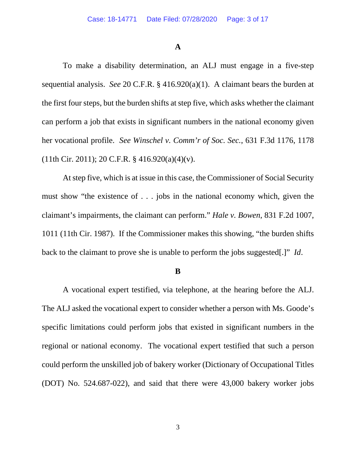## **A**

To make a disability determination, an ALJ must engage in a five-step sequential analysis. *See* 20 C.F.R. § 416.920(a)(1). A claimant bears the burden at the first four steps, but the burden shifts at step five, which asks whether the claimant can perform a job that exists in significant numbers in the national economy given her vocational profile. *See Winschel v. Comm'r of Soc. Sec.*, 631 F.3d 1176, 1178  $(11th Cir. 2011); 20 C.F.R. § 416.920(a)(4)(v).$ 

At step five, which is at issue in this case, the Commissioner of Social Security must show "the existence of . . . jobs in the national economy which, given the claimant's impairments, the claimant can perform." *Hale v. Bowen*, 831 F.2d 1007, 1011 (11th Cir. 1987). If the Commissioner makes this showing, "the burden shifts back to the claimant to prove she is unable to perform the jobs suggested[.]" *Id*.

## **B**

A vocational expert testified, via telephone, at the hearing before the ALJ. The ALJ asked the vocational expert to consider whether a person with Ms. Goode's specific limitations could perform jobs that existed in significant numbers in the regional or national economy. The vocational expert testified that such a person could perform the unskilled job of bakery worker (Dictionary of Occupational Titles (DOT) No. 524.687-022), and said that there were 43,000 bakery worker jobs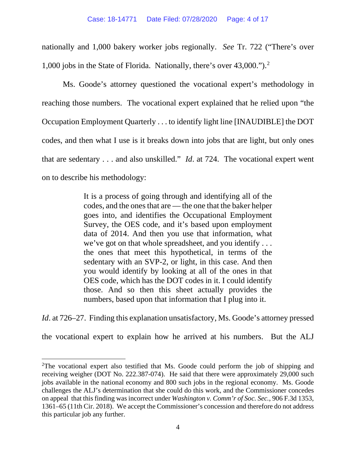nationally and 1,000 bakery worker jobs regionally. *See* Tr. 722 ("There's over 1,000 jobs in the State of Florida. Nationally, there's over 43,000."). [2](#page-3-0)

Ms. Goode's attorney questioned the vocational expert's methodology in reaching those numbers. The vocational expert explained that he relied upon "the Occupation Employment Quarterly . . . to identify light line [INAUDIBLE] the DOT codes, and then what I use is it breaks down into jobs that are light, but only ones that are sedentary . . . and also unskilled." *Id*. at 724. The vocational expert went on to describe his methodology:

> It is a process of going through and identifying all of the codes, and the ones that are — the one that the baker helper goes into, and identifies the Occupational Employment Survey, the OES code, and it's based upon employment data of 2014. And then you use that information, what we've got on that whole spreadsheet, and you identify . . . the ones that meet this hypothetical, in terms of the sedentary with an SVP-2, or light, in this case. And then you would identify by looking at all of the ones in that OES code, which has the DOT codes in it. I could identify those. And so then this sheet actually provides the numbers, based upon that information that I plug into it.

*Id.* at 726–27. Finding this explanation unsatisfactory, Ms. Goode's attorney pressed

the vocational expert to explain how he arrived at his numbers. But the ALJ

<span id="page-3-0"></span><sup>&</sup>lt;sup>2</sup>The vocational expert also testified that Ms. Goode could perform the job of shipping and receiving weigher (DOT No. 222.387-074). He said that there were approximately 29,000 such jobs available in the national economy and 800 such jobs in the regional economy. Ms. Goode challenges the ALJ's determination that she could do this work, and the Commissioner concedes on appeal that this finding was incorrect under *Washington v. Comm'r of Soc. Sec.*, 906 F.3d 1353, 1361–65 (11th Cir. 2018). We accept the Commissioner's concession and therefore do not address this particular job any further.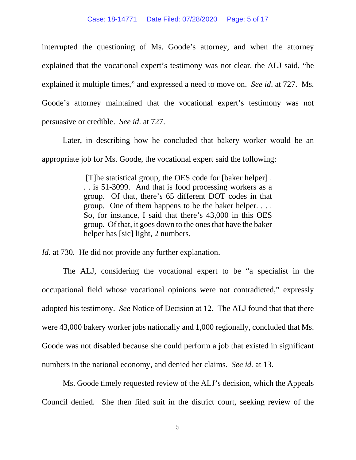interrupted the questioning of Ms. Goode's attorney, and when the attorney explained that the vocational expert's testimony was not clear, the ALJ said, "he explained it multiple times," and expressed a need to move on. *See id*. at 727. Ms. Goode's attorney maintained that the vocational expert's testimony was not persuasive or credible. *See id*. at 727.

Later, in describing how he concluded that bakery worker would be an appropriate job for Ms. Goode, the vocational expert said the following:

> [T]he statistical group, the OES code for [baker helper] . . . is 51-3099. And that is food processing workers as a group. Of that, there's 65 different DOT codes in that group. One of them happens to be the baker helper. . . . So, for instance, I said that there's 43,000 in this OES group. Of that, it goes down to the ones that have the baker helper has [sic] light, 2 numbers.

*Id*. at 730. He did not provide any further explanation.

The ALJ, considering the vocational expert to be "a specialist in the occupational field whose vocational opinions were not contradicted," expressly adopted his testimony. *See* Notice of Decision at 12. The ALJ found that that there were 43,000 bakery worker jobs nationally and 1,000 regionally, concluded that Ms. Goode was not disabled because she could perform a job that existed in significant numbers in the national economy, and denied her claims. *See id.* at 13.

Ms. Goode timely requested review of the ALJ's decision, which the Appeals Council denied. She then filed suit in the district court, seeking review of the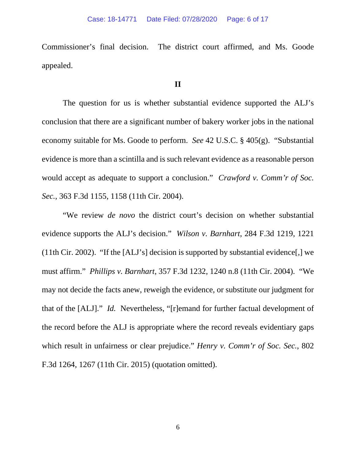Commissioner's final decision. The district court affirmed, and Ms. Goode appealed.

## **II**

The question for us is whether substantial evidence supported the ALJ's conclusion that there are a significant number of bakery worker jobs in the national economy suitable for Ms. Goode to perform. *See* 42 U.S.C. § 405(g). "Substantial evidence is more than a scintilla and is such relevant evidence as a reasonable person would accept as adequate to support a conclusion." *Crawford v. Comm'r of Soc. Sec.*, 363 F.3d 1155, 1158 (11th Cir. 2004).

"We review *de novo* the district court's decision on whether substantial evidence supports the ALJ's decision." *Wilson v. Barnhart*, 284 F.3d 1219, 1221 (11th Cir. 2002). "If the [ALJ's] decision is supported by substantial evidence[,] we must affirm." *Phillips v. Barnhart*, 357 F.3d 1232, 1240 n.8 (11th Cir. 2004). "We may not decide the facts anew, reweigh the evidence, or substitute our judgment for that of the [ALJ]." *Id.* Nevertheless, "[r]emand for further factual development of the record before the ALJ is appropriate where the record reveals evidentiary gaps which result in unfairness or clear prejudice." *Henry v. Comm'r of Soc. Sec.*, 802 F.3d 1264, 1267 (11th Cir. 2015) (quotation omitted).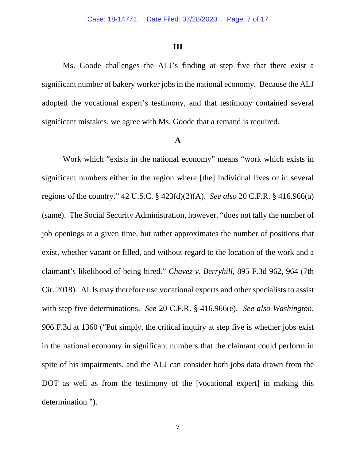#### **III**

Ms. Goode challenges the ALJ's finding at step five that there exist a significant number of bakery worker jobs in the national economy. Because the ALJ adopted the vocational expert's testimony, and that testimony contained several significant mistakes, we agree with Ms. Goode that a remand is required.

#### **A**

Work which "exists in the national economy" means "work which exists in significant numbers either in the region where [the] individual lives or in several regions of the country." 42 U.S.C. § 423(d)(2)(A). *See also* 20 C.F.R. § 416.966(a) (same). The Social Security Administration, however, "does not tally the number of job openings at a given time, but rather approximates the number of positions that exist, whether vacant or filled, and without regard to the location of the work and a claimant's likelihood of being hired." *Chavez v. Berryhill*, 895 F.3d 962, 964 (7th Cir. 2018). ALJs may therefore use vocational experts and other specialists to assist with step five determinations. *See* 20 C.F.R. § 416.966(e). *See also Washington*, 906 F.3d at 1360 ("Put simply, the critical inquiry at step five is whether jobs exist in the national economy in significant numbers that the claimant could perform in spite of his impairments, and the ALJ can consider both jobs data drawn from the DOT as well as from the testimony of the [vocational expert] in making this determination.").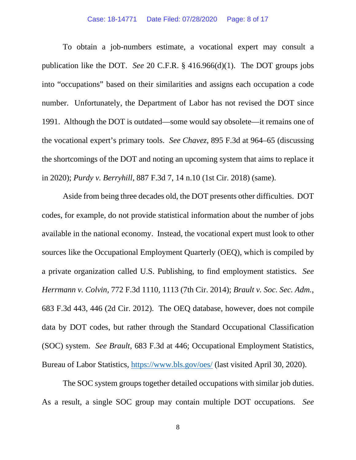#### Case: 18-14771 Date Filed: 07/28/2020 Page: 8 of 17

To obtain a job-numbers estimate, a vocational expert may consult a publication like the DOT. *See* 20 C.F.R. § 416.966(d)(1). The DOT groups jobs into "occupations" based on their similarities and assigns each occupation a code number. Unfortunately, the Department of Labor has not revised the DOT since 1991. Although the DOT is outdated—some would say obsolete—it remains one of the vocational expert's primary tools. *See Chavez*, 895 F.3d at 964–65 (discussing the shortcomings of the DOT and noting an upcoming system that aims to replace it in 2020); *Purdy v. Berryhill*, 887 F.3d 7, 14 n.10 (1st Cir. 2018) (same).

Aside from being three decades old, the DOT presents other difficulties. DOT codes, for example, do not provide statistical information about the number of jobs available in the national economy. Instead, the vocational expert must look to other sources like the Occupational Employment Quarterly (OEQ), which is compiled by a private organization called U.S. Publishing, to find employment statistics. *See Herrmann v. Colvin*, 772 F.3d 1110, 1113 (7th Cir. 2014); *Brault v. Soc. Sec. Adm.*, 683 F.3d 443, 446 (2d Cir. 2012). The OEQ database, however, does not compile data by DOT codes, but rather through the Standard Occupational Classification (SOC) system. *See Brault*, 683 F.3d at 446; Occupational Employment Statistics, Bureau of Labor Statistics,<https://www.bls.gov/oes/> (last visited April 30, 2020).

The SOC system groups together detailed occupations with similar job duties. As a result, a single SOC group may contain multiple DOT occupations. *See*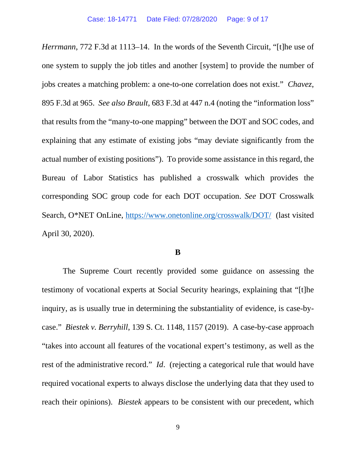*Herrmann*, 772 F.3d at 1113–14. In the words of the Seventh Circuit, "[t]he use of one system to supply the job titles and another [system] to provide the number of jobs creates a matching problem: a one-to-one correlation does not exist." *Chavez*, 895 F.3d at 965. *See also Brault*, 683 F.3d at 447 n.4 (noting the "information loss" that results from the "many-to-one mapping" between the DOT and SOC codes, and explaining that any estimate of existing jobs "may deviate significantly from the actual number of existing positions"). To provide some assistance in this regard, the Bureau of Labor Statistics has published a crosswalk which provides the corresponding SOC group code for each DOT occupation. *See* DOT Crosswalk Search, O\*NET OnLine,<https://www.onetonline.org/crosswalk/DOT/>(last visited April 30, 2020).

## **B**

The Supreme Court recently provided some guidance on assessing the testimony of vocational experts at Social Security hearings, explaining that "[t]he inquiry, as is usually true in determining the substantiality of evidence, is case-bycase." *Biestek v. Berryhill*, 139 S. Ct. 1148, 1157 (2019). A case-by-case approach "takes into account all features of the vocational expert's testimony, as well as the rest of the administrative record." *Id*. (rejecting a categorical rule that would have required vocational experts to always disclose the underlying data that they used to reach their opinions). *Biestek* appears to be consistent with our precedent, which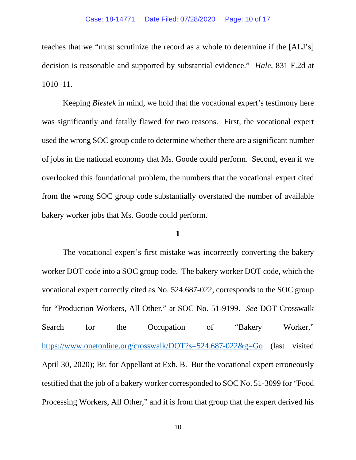teaches that we "must scrutinize the record as a whole to determine if the [ALJ's] decision is reasonable and supported by substantial evidence." *Hale*, 831 F.2d at 1010–11.

Keeping *Biestek* in mind, we hold that the vocational expert's testimony here was significantly and fatally flawed for two reasons. First, the vocational expert used the wrong SOC group code to determine whether there are a significant number of jobs in the national economy that Ms. Goode could perform. Second, even if we overlooked this foundational problem, the numbers that the vocational expert cited from the wrong SOC group code substantially overstated the number of available bakery worker jobs that Ms. Goode could perform.

## **1**

The vocational expert's first mistake was incorrectly converting the bakery worker DOT code into a SOC group code. The bakery worker DOT code, which the vocational expert correctly cited as No. 524.687-022, corresponds to the SOC group for "Production Workers, All Other," at SOC No. 51-9199. *See* DOT Crosswalk Search for the Occupation of "Bakery Worker," <https://www.onetonline.org/crosswalk/DOT?s=524.687-022&g=Go> (last visited April 30, 2020); Br. for Appellant at Exh. B. But the vocational expert erroneously testified that the job of a bakery worker corresponded to SOC No. 51-3099 for "Food Processing Workers, All Other," and it is from that group that the expert derived his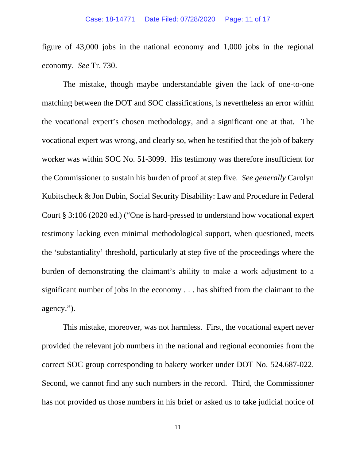figure of 43,000 jobs in the national economy and 1,000 jobs in the regional economy. *See* Tr. 730.

The mistake, though maybe understandable given the lack of one-to-one matching between the DOT and SOC classifications, is nevertheless an error within the vocational expert's chosen methodology, and a significant one at that. The vocational expert was wrong, and clearly so, when he testified that the job of bakery worker was within SOC No. 51-3099. His testimony was therefore insufficient for the Commissioner to sustain his burden of proof at step five. *See generally* Carolyn Kubitscheck & Jon Dubin, Social Security Disability: Law and Procedure in Federal Court § 3:106 (2020 ed.) ("One is hard-pressed to understand how vocational expert testimony lacking even minimal methodological support, when questioned, meets the 'substantiality' threshold, particularly at step five of the proceedings where the burden of demonstrating the claimant's ability to make a work adjustment to a significant number of jobs in the economy . . . has shifted from the claimant to the agency.").

This mistake, moreover, was not harmless. First, the vocational expert never provided the relevant job numbers in the national and regional economies from the correct SOC group corresponding to bakery worker under DOT No. 524.687-022. Second, we cannot find any such numbers in the record. Third, the Commissioner has not provided us those numbers in his brief or asked us to take judicial notice of

11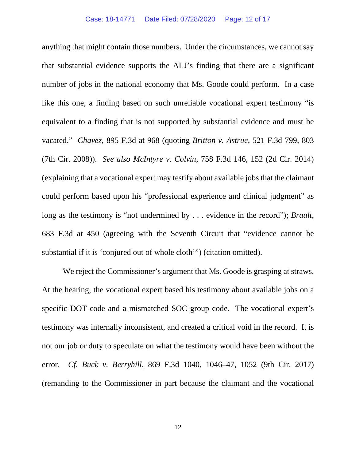anything that might contain those numbers. Under the circumstances, we cannot say that substantial evidence supports the ALJ's finding that there are a significant number of jobs in the national economy that Ms. Goode could perform. In a case like this one, a finding based on such unreliable vocational expert testimony "is equivalent to a finding that is not supported by substantial evidence and must be vacated." *Chavez*, 895 F.3d at 968 (quoting *Britton v. Astrue*, 521 F.3d 799, 803 (7th Cir. 2008)). *See also McIntyre v. Colvin*, 758 F.3d 146, 152 (2d Cir. 2014) (explaining that a vocational expert may testify about available jobs that the claimant could perform based upon his "professional experience and clinical judgment" as long as the testimony is "not undermined by . . . evidence in the record"); *Brault*, 683 F.3d at 450 (agreeing with the Seventh Circuit that "evidence cannot be substantial if it is 'conjured out of whole cloth'") (citation omitted).

We reject the Commissioner's argument that Ms. Goode is grasping at straws. At the hearing, the vocational expert based his testimony about available jobs on a specific DOT code and a mismatched SOC group code. The vocational expert's testimony was internally inconsistent, and created a critical void in the record. It is not our job or duty to speculate on what the testimony would have been without the error. *Cf. Buck v. Berryhill*, 869 F.3d 1040, 1046–47, 1052 (9th Cir. 2017) (remanding to the Commissioner in part because the claimant and the vocational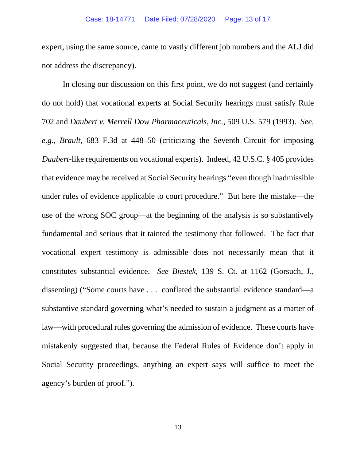expert, using the same source, came to vastly different job numbers and the ALJ did not address the discrepancy).

In closing our discussion on this first point, we do not suggest (and certainly do not hold) that vocational experts at Social Security hearings must satisfy Rule 702 and *Daubert v. Merrell Dow Pharmaceuticals, Inc.*, 509 U.S. 579 (1993). *See, e.g., Brault*, 683 F.3d at 448–50 (criticizing the Seventh Circuit for imposing *Daubert*-like requirements on vocational experts). Indeed, 42 U.S.C. § 405 provides that evidence may be received at Social Security hearings "even though inadmissible under rules of evidence applicable to court procedure." But here the mistake—the use of the wrong SOC group—at the beginning of the analysis is so substantively fundamental and serious that it tainted the testimony that followed. The fact that vocational expert testimony is admissible does not necessarily mean that it constitutes substantial evidence. *See Biestek*, 139 S. Ct. at 1162 (Gorsuch, J., dissenting) ("Some courts have . . . conflated the substantial evidence standard—a substantive standard governing what's needed to sustain a judgment as a matter of law—with procedural rules governing the admission of evidence. These courts have mistakenly suggested that, because the Federal Rules of Evidence don't apply in Social Security proceedings, anything an expert says will suffice to meet the agency's burden of proof.").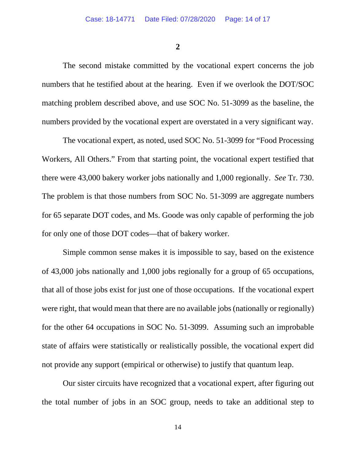**2**

The second mistake committed by the vocational expert concerns the job numbers that he testified about at the hearing. Even if we overlook the DOT/SOC matching problem described above, and use SOC No. 51-3099 as the baseline, the numbers provided by the vocational expert are overstated in a very significant way.

The vocational expert, as noted, used SOC No. 51-3099 for "Food Processing Workers, All Others." From that starting point, the vocational expert testified that there were 43,000 bakery worker jobs nationally and 1,000 regionally. *See* Tr. 730. The problem is that those numbers from SOC No. 51-3099 are aggregate numbers for 65 separate DOT codes, and Ms. Goode was only capable of performing the job for only one of those DOT codes—that of bakery worker.

Simple common sense makes it is impossible to say, based on the existence of 43,000 jobs nationally and 1,000 jobs regionally for a group of 65 occupations, that all of those jobs exist for just one of those occupations. If the vocational expert were right, that would mean that there are no available jobs (nationally or regionally) for the other 64 occupations in SOC No. 51-3099. Assuming such an improbable state of affairs were statistically or realistically possible, the vocational expert did not provide any support (empirical or otherwise) to justify that quantum leap.

Our sister circuits have recognized that a vocational expert, after figuring out the total number of jobs in an SOC group, needs to take an additional step to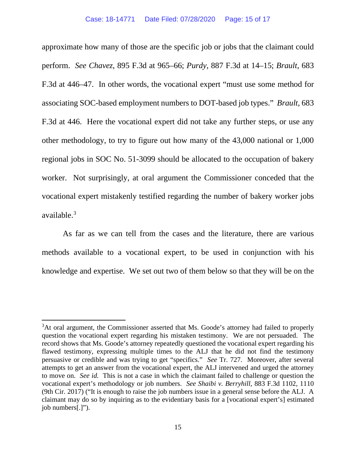approximate how many of those are the specific job or jobs that the claimant could perform. *See Chavez*, 895 F.3d at 965–66; *Purdy*, 887 F.3d at 14–15; *Brault*, 683 F.3d at 446–47. In other words, the vocational expert "must use some method for associating SOC-based employment numbers to DOT-based job types." *Brault*, 683 F.3d at 446. Here the vocational expert did not take any further steps, or use any other methodology, to try to figure out how many of the 43,000 national or 1,000 regional jobs in SOC No. 51-3099 should be allocated to the occupation of bakery worker. Not surprisingly, at oral argument the Commissioner conceded that the vocational expert mistakenly testified regarding the number of bakery worker jobs available. [3](#page-14-0)

As far as we can tell from the cases and the literature, there are various methods available to a vocational expert, to be used in conjunction with his knowledge and expertise. We set out two of them below so that they will be on the

<span id="page-14-0"></span><sup>&</sup>lt;sup>3</sup>At oral argument, the Commissioner asserted that Ms. Goode's attorney had failed to properly question the vocational expert regarding his mistaken testimony. We are not persuaded. The record shows that Ms. Goode's attorney repeatedly questioned the vocational expert regarding his flawed testimony, expressing multiple times to the ALJ that he did not find the testimony persuasive or credible and was trying to get "specifics." *See* Tr. 727.Moreover, after several attempts to get an answer from the vocational expert, the ALJ intervened and urged the attorney to move on. *See id.* This is not a case in which the claimant failed to challenge or question the vocational expert's methodology or job numbers. *See Shaibi v. Berryhill*, 883 F.3d 1102, 1110 (9th Cir. 2017) ("It is enough to raise the job numbers issue in a general sense before the ALJ. A claimant may do so by inquiring as to the evidentiary basis for a [vocational expert's] estimated job numbers[.]").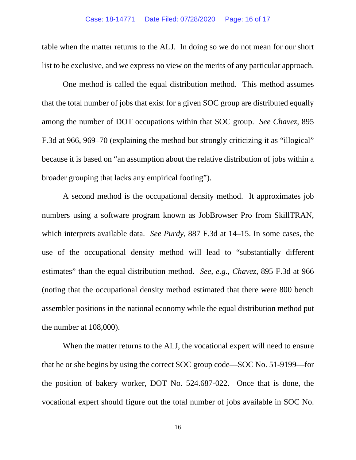table when the matter returns to the ALJ. In doing so we do not mean for our short list to be exclusive, and we express no view on the merits of any particular approach.

One method is called the equal distribution method. This method assumes that the total number of jobs that exist for a given SOC group are distributed equally among the number of DOT occupations within that SOC group. *See Chavez*, 895 F.3d at 966, 969–70 (explaining the method but strongly criticizing it as "illogical" because it is based on "an assumption about the relative distribution of jobs within a broader grouping that lacks any empirical footing").

A second method is the occupational density method. It approximates job numbers using a software program known as JobBrowser Pro from SkillTRAN, which interprets available data. *See Purdy*, 887 F.3d at 14–15. In some cases, the use of the occupational density method will lead to "substantially different estimates" than the equal distribution method. *See, e.g., Chavez*, 895 F.3d at 966 (noting that the occupational density method estimated that there were 800 bench assembler positions in the national economy while the equal distribution method put the number at 108,000).

When the matter returns to the ALJ, the vocational expert will need to ensure that he or she begins by using the correct SOC group code—SOC No. 51-9199—for the position of bakery worker, DOT No. 524.687-022. Once that is done, the vocational expert should figure out the total number of jobs available in SOC No.